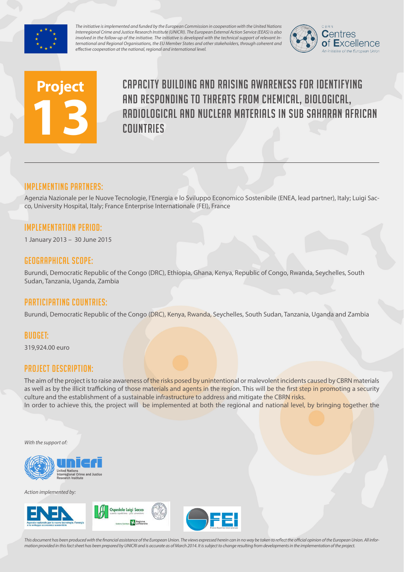

*The initiative is implemented and funded by the European Commission in cooperation with the United Nations Interregional Crime and Justice Research Institute (UNICRI). The European External Action Service (EEAS) is also involved in the follow-up of the initiative. The initiative is developed with the technical support of relevant International and Regional Organisations, the EU Member States and other stakeholders, through coherent and effective cooperation at the national, regional and international level.*



# **Project 13**

Capacity building and raising awareness for identifying and responding to threats from chemical, biological, radiological and nuclear materials in Sub Saharan African countries

## Implementing partners:

Agenzia Nazionale per le Nuove Tecnologie, l'Energia e lo Sviluppo Economico Sostenibile (ENEA, lead partner), Italy; Luigi Sacco, University Hospital, Italy; France Enterprise Internationale (FEI), France

## Implementation Period:

1 January 2013 – 30 June 2015

#### Geographical scope:

Burundi, Democratic Republic of the Congo (DRC), Ethiopia, Ghana, Kenya, Republic of Congo, Rwanda, Seychelles, South Sudan, Tanzania, Uganda, Zambia

## Participating countries:

Burundi, Democratic Republic of the Congo (DRC), Kenya, Rwanda, Seychelles, South Sudan, Tanzania, Uganda and Zambia

#### Budget:

319,924.00 euro

## Project Description:

The aim of the project is to raise awareness of the risks posed by unintentional or malevolent incidents caused by CBRN materials as well as by the illicit trafficking of those materials and agents in the region. This will be the first step in promoting a security culture and the establishment of a sustainable infrastructure to address and mitigate the CBRN risks. In order to achieve this, the project will be implemented at both the regional and national level, by bringing together the

*With the support of:*



*Action implemented by:*



*This document has been produced with the financial assistance of the European Union. The views expressed herein can in no way be taken to reflect the official opinion of the European Union. All information provided in this fact sheet has been prepared by UNICRI and is accurate as of March 2014. It is subject to change resulting from developments in the implementation of the project.*